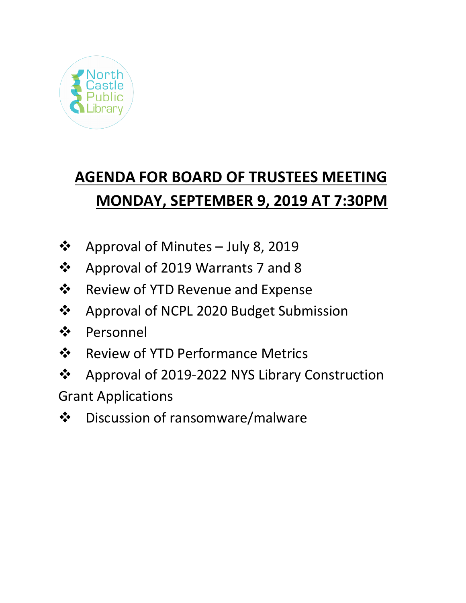

## **AGENDA FOR BOARD OF TRUSTEES MEETING MONDAY, SEPTEMBER 9, 2019 AT 7:30PM**

- ❖ Approval of Minutes July 8, 2019
- ❖ Approval of 2019 Warrants 7 and 8
- $\dots$  Review of YTD Revenue and Expense
- ❖ Approval of NCPL 2020 Budget Submission
- Personnel
- ❖ Review of YTD Performance Metrics
- Approval of 2019-2022 NYS Library Construction

Grant Applications

Discussion of ransomware/malware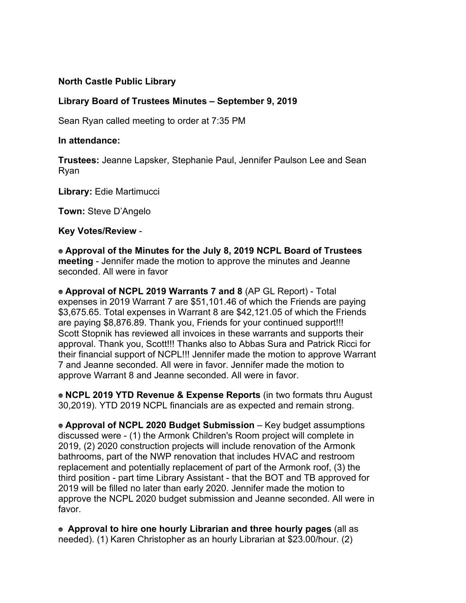## **North Castle Public Library**

## **Library Board of Trustees Minutes – September 9, 2019**

Sean Ryan called meeting to order at 7:35 PM

## **In attendance:**

**Trustees:** Jeanne Lapsker, Stephanie Paul, Jennifer Paulson Lee and Sean Ryan

**Library:** Edie Martimucci

**Town:** Steve D'Angelo

**Key Votes/Review** -

**Approval of the Minutes for the July 8, 2019 NCPL Board of Trustees meeting** - Jennifer made the motion to approve the minutes and Jeanne seconded. All were in favor

**Approval of NCPL 2019 Warrants 7 and 8** (AP GL Report) - Total expenses in 2019 Warrant 7 are \$51,101.46 of which the Friends are paying \$3,675.65. Total expenses in Warrant 8 are \$42,121.05 of which the Friends are paying \$8,876.89. Thank you, Friends for your continued support!!! Scott Stopnik has reviewed all invoices in these warrants and supports their approval. Thank you, Scott!!! Thanks also to Abbas Sura and Patrick Ricci for their financial support of NCPL!!! Jennifer made the motion to approve Warrant 7 and Jeanne seconded. All were in favor. Jennifer made the motion to approve Warrant 8 and Jeanne seconded. All were in favor.

**NCPL 2019 YTD Revenue & Expense Reports** (in two formats thru August 30,2019). YTD 2019 NCPL financials are as expected and remain strong.

**Approval of NCPL 2020 Budget Submission** – Key budget assumptions discussed were - (1) the Armonk Children's Room project will complete in 2019, (2) 2020 construction projects will include renovation of the Armonk bathrooms, part of the NWP renovation that includes HVAC and restroom replacement and potentially replacement of part of the Armonk roof, (3) the third position - part time Library Assistant - that the BOT and TB approved for 2019 will be filled no later than early 2020. Jennifer made the motion to approve the NCPL 2020 budget submission and Jeanne seconded. All were in favor.

**Approval to hire one hourly Librarian and three hourly pages** (all as needed). (1) Karen Christopher as an hourly Librarian at \$23.00/hour. (2)